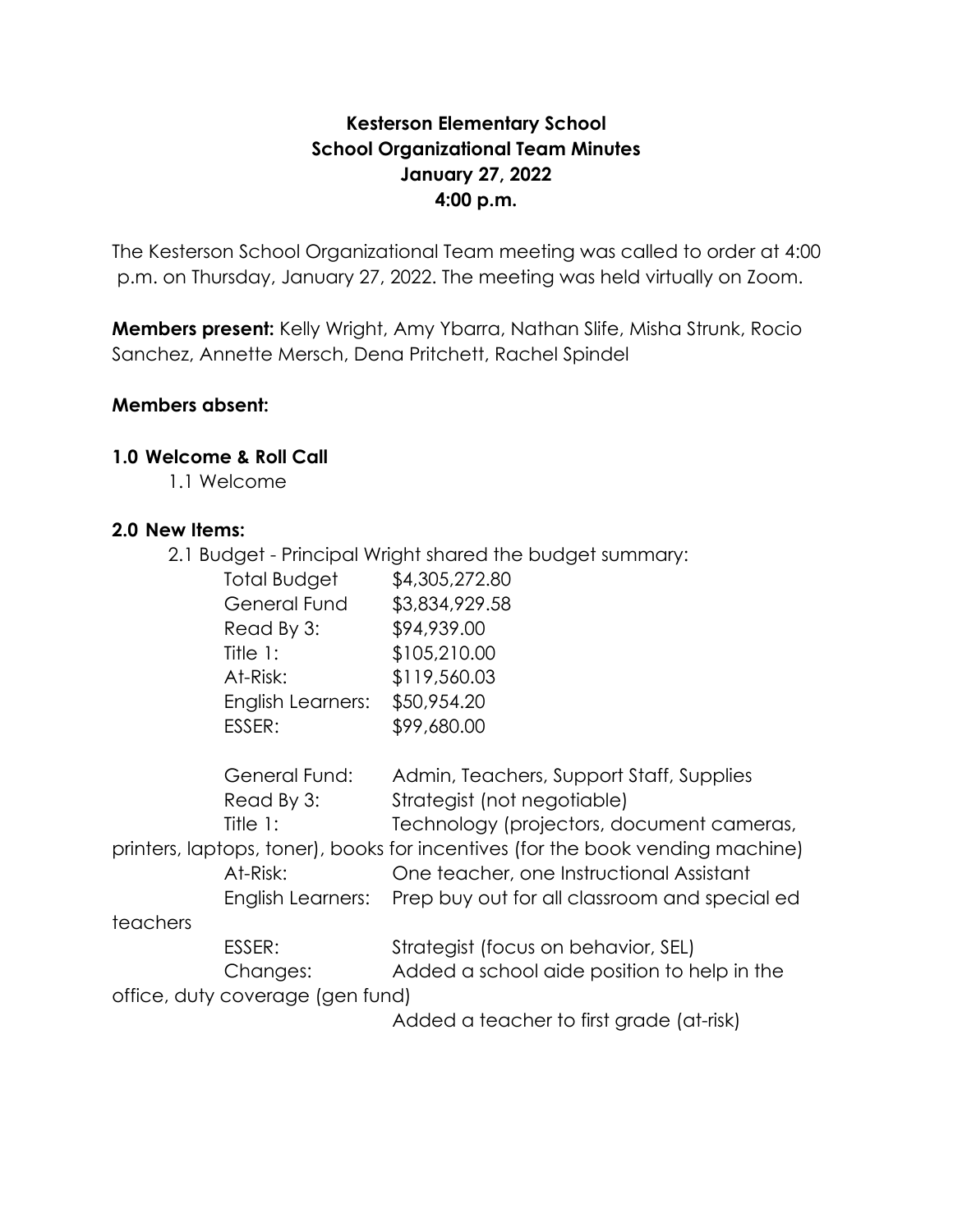# **Kesterson Elementary School School Organizational Team Minutes January 27, 2022 4:00 p.m.**

The Kesterson School Organizational Team meeting was called to order at 4:00 p.m. on Thursday, January 27, 2022. The meeting was held virtually on Zoom.

**Members present:** Kelly Wright, Amy Ybarra, Nathan Slife, Misha Strunk, Rocio Sanchez, Annette Mersch, Dena Pritchett, Rachel Spindel

### **Members absent:**

#### **1.0 Welcome & Roll Call**

1.1 Welcome

#### **2.0 New Items:**

2.1 Budget - Principal Wright shared the budget summary:

| <b>Total Budget</b> | \$4,305,272.80 |  |
|---------------------|----------------|--|
| <b>General Fund</b> | \$3,834,929.58 |  |
| Read By 3:          | \$94,939.00    |  |
| Title $1:$          | \$105,210.00   |  |
| At-Risk:            | \$119,560.03   |  |
| English Learners:   | \$50,954.20    |  |
| ESSER:              | \$99,680.00    |  |
|                     |                |  |

|          | General Fund:                    | Admin, Teachers, Support Staff, Supplies                                       |
|----------|----------------------------------|--------------------------------------------------------------------------------|
|          | Read By 3:                       | Strategist (not negotiable)                                                    |
|          | Title $1$ :                      | Technology (projectors, document cameras,                                      |
|          |                                  | printers, laptops, toner), books for incentives (for the book vending machine) |
|          | At-Risk:                         | One teacher, one Instructional Assistant                                       |
|          |                                  | English Learners: Prep buy out for all classroom and special ed                |
| teachers |                                  |                                                                                |
|          | ESSER:                           | Strategist (focus on behavior, SEL)                                            |
|          | Changes:                         | Added a school aide position to help in the                                    |
|          | office, duty coverage (gen fund) |                                                                                |
|          |                                  | Added a teacher to first arade (at-risk)                                       |

Added a teacher to first grade (at-risk)